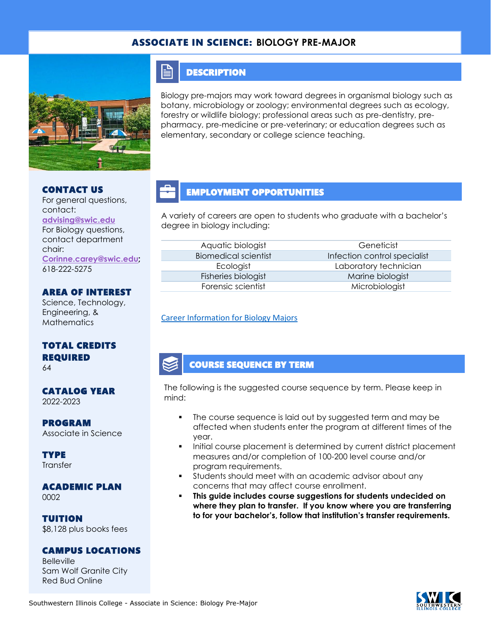### ASSOCIATE IN SCIENCE: **BIOLOGY PRE-MAJOR**



# CONTACT US

#### For general questions, contact: **[advising@swic.edu](mailto:advising@swic.edu)** For Biology questions, contact department chair: **[Corinne.carey@swic.edu;](mailto:Corinne.carey@swic.edu)** 618-222-5275

### AREA OF INTEREST

Science, Technology, Engineering, & **Mathematics** 

# TOTAL CREDITS REQUIRED

64

# CATALOG YEAR

2022-2023

### PROGRAM Associate in Science

**TYPE Transfer** 

#### ACADEMIC PLAN 0002

TUITION \$8,128 plus books fees

#### CAMPUS LOCATIONS

Belleville Sam Wolf Granite City Red Bud Online

### **DESCRIPTION**

FI

Biology pre-majors may work toward degrees in organismal biology such as botany, microbiology or zoology; environmental degrees such as ecology, forestry or wildlife biology; professional areas such as pre-dentistry, prepharmacy, pre-medicine or pre-veterinary; or education degrees such as elementary, secondary or college science teaching.

# EMPLOYMENT OPPORTUNITIES

A variety of careers are open to students who graduate with a bachelor's degree in biology including:

| Aquatic biologist           |  |
|-----------------------------|--|
| <b>Biomedical scientist</b> |  |
| Ecologist                   |  |
| Fisheries biologist         |  |
| Forensic scientist          |  |

Geneticist Infection control specialist Laboratory technician Marine biologist Microbiologist

#### [Career Information for Biology Majors](https://www.onetonline.org/find/quick?s=biology)

### COURSE SEQUENCE BY TERM

The following is the suggested course sequence by term. Please keep in mind:

- The course sequence is laid out by suggested term and may be affected when students enter the program at different times of the year.
- Initial course placement is determined by current district placement measures and/or completion of 100-200 level course and/or program requirements.
- Students should meet with an academic advisor about any concerns that may affect course enrollment.
- **This guide includes course suggestions for students undecided on where they plan to transfer. If you know where you are transferring to for your bachelor's, follow that institution's transfer requirements.**